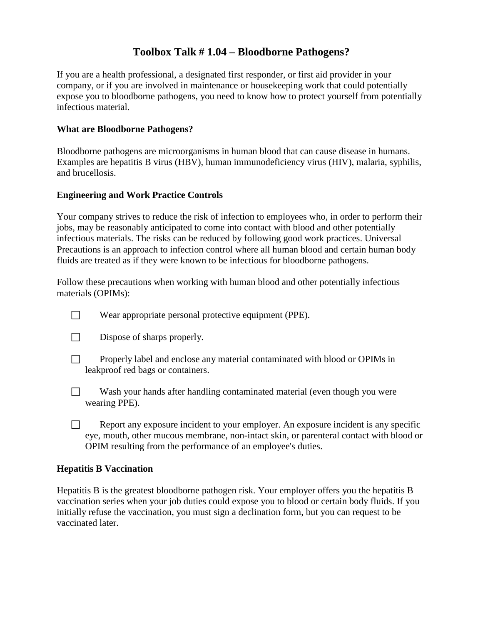## **Toolbox Talk # 1.04 – Bloodborne Pathogens?**

If you are a health professional, a designated first responder, or first aid provider in your company, or if you are involved in maintenance or housekeeping work that could potentially expose you to bloodborne pathogens, you need to know how to protect yourself from potentially infectious material.

#### **What are Bloodborne Pathogens?**

Bloodborne pathogens are microorganisms in human blood that can cause disease in humans. Examples are hepatitis B virus (HBV), human immunodeficiency virus (HIV), malaria, syphilis, and brucellosis.

#### **Engineering and Work Practice Controls**

Your company strives to reduce the risk of infection to employees who, in order to perform their jobs, may be reasonably anticipated to come into contact with blood and other potentially infectious materials. The risks can be reduced by following good work practices. Universal Precautions is an approach to infection control where all human blood and certain human body fluids are treated as if they were known to be infectious for bloodborne pathogens.

Follow these precautions when working with human blood and other potentially infectious materials (OPIMs):

- $\Box$  Wear appropriate personal protective equipment (PPE).
- $\Box$  Dispose of sharps properly.
- **Properly label and enclose any material contaminated with blood or OPIMs in** leakproof red bags or containers.
- $\Box$  Wash your hands after handling contaminated material (even though you were wearing PPE).
- $\Box$  Report any exposure incident to your employer. An exposure incident is any specific eye, mouth, other mucous membrane, non-intact skin, or parenteral contact with blood or OPIM resulting from the performance of an employee's duties.

#### **Hepatitis B Vaccination**

Hepatitis B is the greatest bloodborne pathogen risk. Your employer offers you the hepatitis B vaccination series when your job duties could expose you to blood or certain body fluids. If you initially refuse the vaccination, you must sign a declination form, but you can request to be vaccinated later.